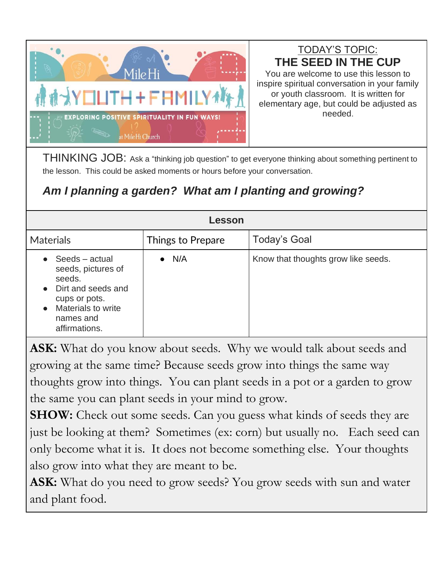

TODAY'S TOPIC: **THE SEED IN THE CUP**

You are welcome to use this lesson to inspire spiritual conversation in your family or youth classroom. It is written for elementary age, but could be adjusted as needed.

THINKING JOB: Ask a "thinking job question" to get everyone thinking about something pertinent to the lesson. This could be asked moments or hours before your conversation.

## *Am I planning a garden? What am I planting and growing?*

| Lesson                                                                                                                                                                    |                   |                                     |
|---------------------------------------------------------------------------------------------------------------------------------------------------------------------------|-------------------|-------------------------------------|
| <b>Materials</b>                                                                                                                                                          | Things to Prepare | <b>Today's Goal</b>                 |
| $\bullet$ Seeds – actual<br>seeds, pictures of<br>seeds.<br>• Dirt and seeds and<br>cups or pots.<br><b>Materials to write</b><br>$\bullet$<br>names and<br>affirmations. | N/A<br>$\bullet$  | Know that thoughts grow like seeds. |

**ASK:** What do you know about seeds. Why we would talk about seeds and growing at the same time? Because seeds grow into things the same way thoughts grow into things. You can plant seeds in a pot or a garden to grow the same you can plant seeds in your mind to grow.

**SHOW:** Check out some seeds. Can you guess what kinds of seeds they are just be looking at them? Sometimes (ex: corn) but usually no. Each seed can only become what it is. It does not become something else. Your thoughts also grow into what they are meant to be.

**ASK:** What do you need to grow seeds? You grow seeds with sun and water and plant food.